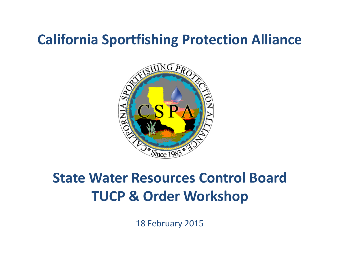### **California Sportfishing Protection Alliance**



### **State Water Resources Control Board TUCP & Order Workshop**

18 February 2015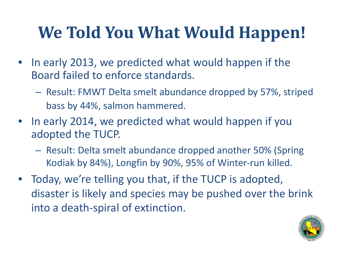### **We Told You What Would Happen!**

- In early 2013, we predicted what would happen if the Board failed to enforce standards.
	- Result: FMWT Delta smelt abundance dropped by 57%, striped bass by 44%, salmon hammered.
- In early 2014, we predicted what would happen if you adopted the TUCP.
	- Result: Delta smelt abundance dropped another 50% (Spring Kodiak by 84%), Longfin by 90%, 95% of Winter-run killed.
- Today, we're telling you that, if the TUCP is adopted, disaster is likely and species may be pushed over the brink into a death-spiral of extinction.

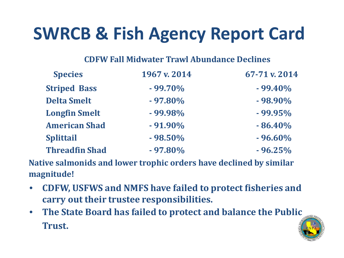### **SWRCB & Fish Agency Report Card**

#### **CDFW Fall Midwater Trawl Abundance Declines**

| <b>Species</b>        | 1967 v. 2014 | 67-71 v. 2014 |
|-----------------------|--------------|---------------|
| <b>Striped Bass</b>   | $-99.70\%$   | $-99.40\%$    |
| <b>Delta Smelt</b>    | $-97.80\%$   | $-98.90\%$    |
| <b>Longfin Smelt</b>  | $-99.98%$    | $-99.95%$     |
| <b>American Shad</b>  | $-91.90\%$   | $-86.40\%$    |
| <b>Splittail</b>      | $-98.50%$    | $-96.60\%$    |
| <b>Threadfin Shad</b> | $-97.80\%$   | $-96.25%$     |

**Native salmonids and lower trophic orders have declined by similar magnitude!**

- **CDFW, USFWS and NMFS have failed to protect fisheries and carry out their trustee responsibilities.**
- **The State Board has failed to protect and balance the Public Trust.**

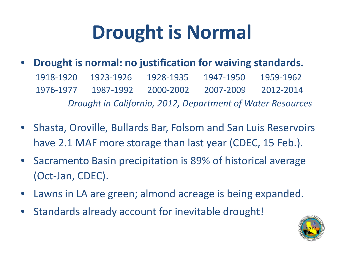## **Drought is Normal**

- **Drought is normal: no justification for waiving standards.** 1918-1920 1923-1926 1928-1935 1947-1950 1959-1962 1976-1977 1987-1992 2000-2002 2007-2009 2012-2014 *Drought in California, 2012, Department of Water Resources*
- Shasta, Oroville, Bullards Bar, Folsom and San Luis Reservoirs have 2.1 MAF more storage than last year (CDEC, 15 Feb.).
- Sacramento Basin precipitation is 89% of historical average (Oct-Jan, CDEC).
- Lawns in LA are green; almond acreage is being expanded.
- Standards already account for inevitable drought!

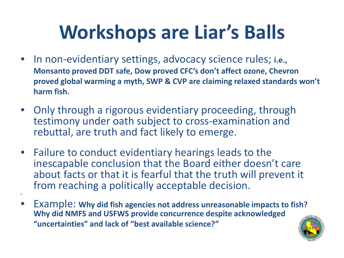# **Workshops are Liar's Balls**

- In non-evidentiary settings, advocacy science rules; **i.e., Monsanto proved DDT safe, Dow proved CFC's don't affect ozone, Chevron proved global warming a myth, SWP & CVP are claiming relaxed standards won't harm fish.**
- Only through a rigorous evidentiary proceeding, through testimony under oath subject to cross-examination and rebuttal, are truth and fact likely to emerge.
- Failure to conduct evidentiary hearings leads to the inescapable conclusion that the Board either doesn't care about facts or that it is fearful that the truth will prevent it from reaching a politically acceptable decision.

•

• Example: **Why did fish agencies not address unreasonable impacts to fish? Why did NMFS and USFWS provide concurrence despite acknowledged "uncertainties" and lack of "best available science?"**

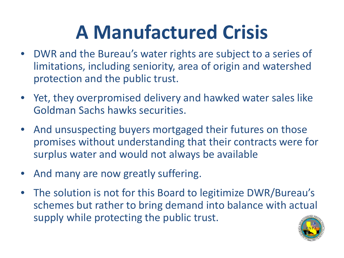# **A Manufactured Crisis**

- DWR and the Bureau's water rights are subject to a series of limitations, including seniority, area of origin and watershed protection and the public trust.
- Yet, they overpromised delivery and hawked water sales like Goldman Sachs hawks securities.
- And unsuspecting buyers mortgaged their futures on those promises without understanding that their contracts were for surplus water and would not always be available
- And many are now greatly suffering.
- The solution is not for this Board to legitimize DWR/Bureau's schemes but rather to bring demand into balance with actual supply while protecting the public trust.